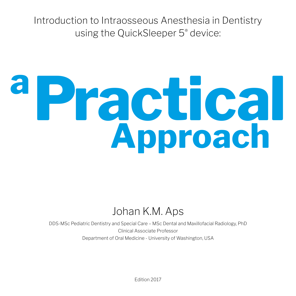Introduction to Intraosseous Anesthesia in Dentistry using the QuickSleeper 5® device:

## **Approach a Practical**

## Johan K.M. Aps

DDS-MSc Pediatric Dentistry and Special Care – MSc Dental and Maxillofacial Radiology, PhD Clinical Associate Professor Department of Oral Medicine - University of Washington, USA

Edition 2017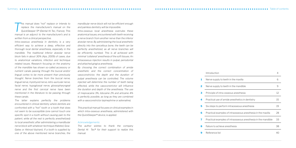*This manual does "not" replace or intends to* replace the manufacturer's manual on the QuickSleeper 5® (Dental Hi Tec, France). This *replace the manufacturer's manual on the manual is an adjunct to the manufacturer's and is written from a clinical perspective.*

*Intra-osseous anesthesia in dentistry is a very efficient way to achieve a deep, effective and thorough local dental anesthesia, especially in the mandible. The traditional inferior alveolar nerve block fails in about 30% (Aps, 2009) of cases, due to anatomical variations, infection and technique related issues. Research focusing on the anatomy of the mandible has shown so-called accessory or nutrient canals passing through the buccal and/or lingual cortex to be more present than previously thought. Nerve branches from the buccal nerve, lingual nerve, mylohyoid nerve, retro-auricular nerve, facial nerve, hypoglossal nerve, glossopharyngeal nerve and the first cervical nerve have been mentioned in the literature to be passing through these canals.* 

*The latter explains perfectly the problems encountered in clinical dentistry where dentists are confronted with a "hot" tooth or a tooth that does not seem to be susceptible (one cannot touch one specific spot in a tooth without causing pain to the patient, while all the rest is perfectly anesthetized) to local anesthetic after administering a mandibular nerve block with whatever technique (Halsted, Gow-Gates or Akinosi-Vazirani). If a tooth is supplied by one of the above mentioned nerve branches, the* 

*mandibular nerve block will not be efficient enough and painless dentistry will be impossible.* 

*Intra-osseous local anesthesia overrules these anatomical issues, encountered with teeth receiving a nerve branch from another nerve than the inferior alveolar nerve. By administering the local anesthetic directly into the cancellous bone, the teeth can be perfectly anesthetized, as all nerve branches will be efficiently numbed. This is all achieved with minimal 'collateral' anesthesia of the soft tissues. An intraosseous injection results in pulpal, periodontal and attached gingiva anesthesia.* 

*By choosing the correct combination of amide anesthetic and the correct concentration of vasoconstrictor, the depth and the duration of pulpal anesthesia can be controlled. The volume injected will determine the number of teeth being affected, while the vasoconstrictor will influence the duration and depth of the anesthesia. The use of mepivacaine 3%, lidocaine 2% and articaine 4% is perfectly possible, as long as they are combined with a vasoconstrictor (epinephrine or adrenaline).*

*This practical manual focuses on clinical examples in which intra-osseous anesthesia, administered with the QuickSleeper® device, is applied.*

## *Acknowledgements:*

*The author wishes to thank the company Dental Hi Tec® for their support to realize this manual.* 

## **Introduction 1** Nerve supply to teeth in the **2** Nerve supply to teeth in the **3** Principle of intra-osseous and **4** Practical use of amide anest **5** Six steps to perform intraos **6** Practical examples of intrao **7** Practical examples of intrao **8** Failure to achieve anesthesi

**9** Reference list

|                                    | 4  |
|------------------------------------|----|
| : maxilla                          | 6  |
| : mandible                         | 9  |
| nesthesia                          | 12 |
| thetics in dentistry               | 15 |
| seous anesthesia                   | 19 |
| )sseous anesthesia in the maxilla  | 28 |
| osseous anesthesia in the mandible | 33 |
| ia                                 | 38 |
|                                    | 40 |

Summary Table of contents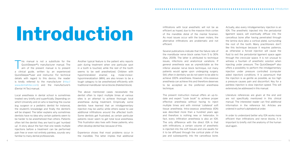## Infiltrations with local anesthetic will not be as<br>
of the mandible distal of the mental foramen.<br>
As most issues occur with the lower molars, the

This manual is not a substitute for the QuickSleeper®'s manufacturer manual. The aim of the present manual is to present QuickSleeper®'s manufacturer manual. The a clinical guide, written by an experienced QuickSleeper®user and instructor. For technical details with regard to this device, the reader is kindly referred to the manufacturer (http:// www.dentalhitec.com) and the manufacturer's (Dental Hi Tec) manual.

Local anesthesia in dental school is sometimes treated very briefly and superficially. Depending on which University and on who is teaching the course (e.g. surgeon or a pediatric dentist for instance), the student's knowledge and finally the dentist's will be shaped. The latter explains why sometimes dentists have no idea why certain patients seem to be harder to be anesthetized than others. Patients often tell the dentist they are hard to get 'numbed up'. A story about the fact that one needs multiple injections before a treatment can be performed pain free or even not entirely painless, sounds very familiar to many dental professionals.

Several publications indicate that the failure rate of the mandibular nerve block varies from 5 to 30% (Aps, 2009). The latter is attributed to technique issues, infections and anatomical variations. If general anesthesia was as unpredictable as the inferior alveolar nerve block technique, not many patients would agree upon undergoing surgery. Still, often in dentistry we do not seem to be able to achieve 100% anesthesia. However, intra-osseous anesthesia can achieve this and therefore deserves to be accepted as the preferred anesthesia technique.

Another typical feature is the patient who reports pain during treatment when one particular spot in a tooth is touched, while the rest of the tooth seems to be well anesthetized. Children with hypomineralized enamel, e.g. molar-incisorhypomineralization (MIH), are also known to be a tough category to be anesthetized efficiently with traditional mandibular nerve blocks (Halsted block).

The above mentioned cases necessitate the dentist often to inject multiple times at various sites is an attempt to achieve thorough local anesthesia during treatment. Empirically some dentists have learned that an intraligamentary injection may be useful, while others swear to use additional infiltrations around the affected tooth. Some dentists get frustrated, as certain particular patients never seem to get total local anesthesia. This frustration also lives with these patients, who often develop dental fear, because of this.

Experience shows that most problems occur in the mandible. The latter implies that additional

efficient as hoped, due to the massive thick cortex of the mandible distal of the mental foramen. As most issues occur with the lower molars, the alternative infiltrations are problematic and not efficient.

The present instruction manual offers an up-todate and expert "cook book" to achieve proper effective anesthesia without having to inject multiple times and with minimal 'collateral' soft tissue anesthesia. Intra-osseous anesthesia (IOA) was described more than a hundred years ago and therefore is nothing new or heterodox. In fact, every infiltration anesthesia is also an IOA. The only difference with the direct IOA is that with infiltrations, a certain volume of anesthetic is injected into the soft tissues and one awaits for it to be diffused through the cortical plate of the jaw and subsequently into the cancellous bone.

Actually, also every intraligamentary injection is an IOA. The anesthetic injected into the periodontal ligament space, will eventually diffuse into the cancellous bone after having penetrated through the lamina dura (also a cortical plate), surrounding the root of the tooth. Many practitioners don't like this technique because it requires patience, as otherwise a forced injection will cause the fluid to exit the periodontal ligament space again through the crevicular space. It is not unusual to witness a fountain of anesthetic solution when injecting under pressure. The QuickSleeper® also offers a possibility to perform the intraligamentary injection under pressure controlled (computer aided injection) conditions. It is paramount that the injection is as gentle as possible, as too high a pressure causes pain and discomfort. Key for a painless injection is slow injection speed. This will extensively be addressed in this manual.

Literature references are given at the end and are not specifically mentioned in this clinical manual. The interested reader can find additional information in the reference list. Articles are ordered in author's alphabetical order.

In order to understand better why IOA works more efficient than infiltrations and nerve blocks, it is important to briefly visit the anatomy of the human skull again.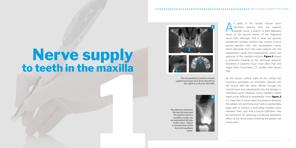Il teeth in the maxilla receive nerve<br>
branches derived from the superior<br>
alveolar nerve, a branch of N.Vb (Maxillary branches derived from the superior nerve) or the second branch of the Trigeminal nerve (N.V.). Although that is what we assume, sometimes maxillary incisors may receive a nerve branch derived from the nasopalatine nerve, which descends from the nasal septum into the nasopalatine canal, and subsequently opens just posterior of the maxillary incisors. **Figure 1** shows a schematic drawing of this particular anatomy. Variations in anatomy occur more often than one might think. Cone-beam CT studies have shown

that.

# **114Ama Nerve supply to teeth in the maxilla**





As the buccal cortical plate of the maxilla has numerous porosities, an anesthetic injected into the buccal fold will easily diffuse through the cortical bone and subsequently into the spongy or cancellous bone. However, some maxillary molars might prove difficult to anesthetize. From **figure 2** it is clear that in some cases the distance between the palatal root and the buccal roots is substantially large, with or without a protruding maxillary sinus between them, and that a buccal infiltration may be insufficient for obtaining a profound anesthetic effect of the nerve branch entering the palatal root

of the tooth.

**The nasopalatine canal in coronal, sagittal and axial view (from the left to the right) in a 10 year old child.**

**The distance between the buccal roots and the palatal root in a maxillary molar can be substantial (10 mm in this case) – this is a coronal view of the first left maxillary molar.**



**1**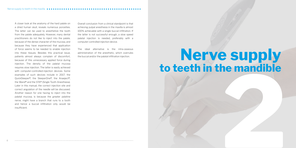A closer look at the anatomy of the hard palate on a dried human skull, reveals numerous porosities. The latter can be used to anesthetize the tooth from the palate adequately. However, many dental practitioners do not like to inject into the palate, because of the dense character of the mucosa, and because they have experienced that application of force seems to be needed to enable injection into these tissues. Besides this practical issue, patients almost always complain of discomfort, because of this unnecessary applied force during injection. The density of the palatal mucosa requires slow injection. The latter is easily achieved with computer-controlled-injection devices. Some examples of such devices include in 2017, the QuickSleeper®, the SleeperOne®, the Anaeject®, the Wand® and the STA® (Single Tooth Anesthesia). Later in this manual, the correct injection site and correct angulation of the needle will be discussed. Another reason for one having to inject into the palatal mucosa, is because the greater palatine nerve, might have a branch that runs to a tooth and hence a buccal infiltration only would be insufficient.

Overall conclusion from a clinical standpoint is that achieving pulpal anesthesia in the maxilla is almost 100% achievable with a single buccal infiltration. If the latter is not successful enough, a slow speed palatal injection is needed, preferably with a computer controlled injection device.

The ideal alternative is the intra-osseous administration of the anesthetic, which overrules the buccal and/or the palatal infiltration injection.

# **2 Nerve supply to teeth in the mandible**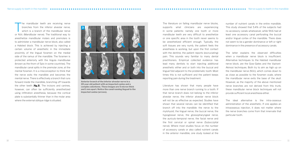The mandibular teeth are receiving nerve<br>branches from the inferior alveolar nerve,<br>which is a branch of the mandibular nerve branches from the inferior alveolar nerve, or N.Vc (Mandibular nerve). The traditional way to anesthetize mandibular molars and premolars is to administer a mandibular nerve block, also called a Halsted block. This is achieved by injecting a certain volume of anesthetic in the immediate proximity of the lingual foramen on the medial side of the ramus of the mandible. The foramen is protected anteriorly with the lingula mandibulae (known as the thorn of Spix in some countries). The mandibular canal splits in the premolar zone, at the mental foramen. It is a misconception to think that the nerve exits the mandible and becomes the mental nerve. There is effectively a branch that runs forward inside the mandible, branching off towards the other teeth [**fig.3**]. The incisors and canines, however, can often be sufficiently anesthetized using infiltration anesthesia, because the cortical plate is substantially thinner than in the molar area where the external oblique ridge is situated.

The literature on failing mandibular nerve blocks, supports what clinicians are experiencing in some patients: namely one tooth or more mandibular teeth are very difficult to anesthetize or one specific area in the tooth never seems to be anesthetized efficient enough. Typically, the soft tissues are very numb, the patient feels the anesthesia is working, but upon the first contact with the dentine, the patient reports (excruciating) pain. This sounds very familiar to many dental practitioners. Empirical collected evidence has lead many dentists to start injecting additional anesthetic either and or both into the buccal and lingual fold adjacent to the problematic tooth. Most times this is not sufficient and the patient keeps reporting pain during the treatment.

Literature has shown that many people have more than one nerve branch running to a tooth. If that nerve branch does not belong to the inferior alveolar nerve, the inferior alveolar nerve block will not be as effective as expected. Studies have shown that several nerves can be identified that branch off into the mandible: the nerve to the mylohyoid, the lingual nerve, the buccal nerve, the hypoglossal nerve, the glossopharyngeal nerve, the auriculo-temporal nerve, the facial nerve and the first cervical or spinal nerve (Suboccipital nerve). Where most studies focus on the number of accessory canals or also called nutrient canals in the anterior mandible, one study looked at the

number of nutrient canals in the entire mandible. This study showed that 5.4% of the subjects had no accessory canals whatsoever, while 94.6 had at least one accessory canal perforating the buccal and/or lingual cortex of the mandible. There does not seem to be a gender dominance or left or right dominance in the presence of accessory canals.

The latter explains the observed difficulties when a mandibular nerve block is insufficient. Alternative techniques to the Halsted mandibular nerve block, are the Gow-Gates and the Vazirani-Akinosi techniques. Both try to aim as high up on the mandibular nerve (N.Vc), which comes down to as close as possible to the foramen ovale, where the mandibular nerve exits the base of the skull. However, as the majority of the above mentioned nerve branches are not derived from this trunk, these mandibular nerve block techniques will not provide sufficient local anesthesia either.

The ideal alternative is the intra-osseous administration of the anesthetic. If one applies an intraosseous injection, it does not matter where the nerve branches come from that innervate that particular tooth.

**Anterior branch of the inferior alveolar nerve in a 20 year old patient with an impacted canine and a complex odontome. These images are 5 micron thick and 1 mm apart. Notice the canal running lingual to the impacted canine (arrows).**

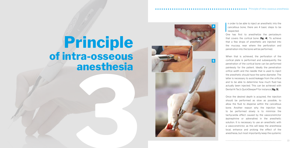In order to be able to inject an anesthetic into the cancellous bone, there are 4 basic steps to be respected. cancellous bone, there are 4 basic steps to be

respected.

One has first to anesthetize the periosteum that covers the cortical bone [**fig. 4**]. To achieve that a few drops of anesthetic are injected into the mucosa, near where the perforation and penetration into the bone will be performed.

When that is achieved, the perforation of the cortical plate is performed and subsequently the penetration of the cortical bone can be performed painlessly for the patient. Ideally the penetration orifice width and the needle that is used to inject the anesthetic should have the same diameter. The latter is necessary to avoid leakage from the orifice and to be able to determine how much fluid has actually been injected. This can be achieved with Dental Hi Tec's QuickSleeper® for instance [**fig. 5**].

## **3 Principle of intra-osseous anesthesia**

Once the desired depth is acquired, the injection should be performed as slow as possible, to allow the fluid to disperse within the cancellous bone. Another reason why the injection has to be performed slowly is to minimize the tachycardia effect caused by the vasoconstrictor (epinephrine or adrenaline) in the anesthetic solution. It is necessary to use an anesthetic with a vasoconstrictor, as this will keep the anesthesia local, enhance and prolong the effect of the anesthesia, but most importantly keep the systemic

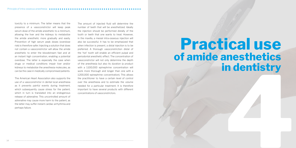toxicity to a minimum. The latter means that the presence of a vasoconstrictor will keep peak serum dose of the amide anesthetic to a minimum, allowing the liver and the kidneys to metabolize the amide anesthetic more gradually and easily. Prevention of high serum peak doses (overdose risk) is therefore safer. Injecting a solution that does not contain a vasoconstrictor will allow the amide anesthetic to enter the bloodstream fast and at an instant high concentration, enabling a potential overdose. The latter is especially the case when drugs or medical conditions impair liver and/or kidneys to metabolize the anesthesia molecules, as can be the case in medically compromised patients.

The American Heart Association also supports the use of a vasoconstrictor in dental local anesthesia as it prevents painful events during treatment, which subsequently cause stress for the patient, which in turn is translated into an endogenous release of adrenaline. This uncontrolled amount of adrenaline may cause more harm to the patient, as the latter may suffer instant cardiac arrhythmia and perhaps failure.

## **4444 Practical use of amide anesthetics in dentistry**

The amount of injected fluid will determine the number of teeth that will be anesthetized. Ideally the injection should be performed distally of the tooth or teeth that one wants to treat. However, in the maxilla, a mesial intra-osseous injection will also be successful. It has to be emphasized that when infection is present, a distal injection is to be preferred. A thorough vasoconstriction distal of the 'hot' tooth will enable an efficient pulpal and periodontal anesthetic effect. The concentration of vasoconstrictor will not only determine the depth of the anesthesia but also its duration (a product with a 1:100,000 epinephrine concentration will work more thorough and longer than one with a 1:200,000 epinephrine concentration). This allows the practitioner to have a certain level of control over the anesthesia and to estimate the volume needed for a particular treatment. It is therefore important to have several products with different concentrations of vasoconstrictors.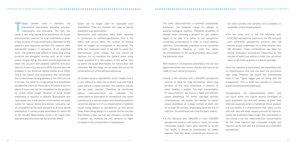The other vasoconstrictor, a synthetic polypeptide, felipressin, can however cause an allergic or adverse biological reaction. Therefore prudence is needed when choosing a product for your patient. Again, to be safe, it is better to use epinephrine containing combinations in order to avoid adverse reactions. Coincidentally prilocaine is only combined with felipressin. Keeping in mind the above recommendation of not using prilocaine, also covers the felipressin issue.

With respect to intraosseous anesthesia one can now appreciate better the correct choices that have to be made for each dental procedure.

- > Using a 4% articaine with 1:100,000 epinephrine solution is ideal for long procedures, when long duration of the local anesthesia is desired, or when treating a pulpitis. The high concentration of vasoconstrictor will ensure a deep and efficient pulpal anesthesia. An entire cartridge injected intraosseously will enable the dentist to obtain pulpal anesthesia on a large number of teeth and for at least 60 minutes. Depending upon the site of injection, the anesthesia will cross the jaw's midline.
- > A 2% lidocaine with 1:80,000 or even 1:50,000 epinephrine solution will come in handy for acute irreversible pulpitis cases (also referred to as the 'hot' tooth). It should be emphasized, for safety reasons, that the latter combinations should not

be used routinely and certainly not in pediatric or medically compromised patients.

> On the other end is the 2% lidocaine with 1:100,000 epinephrine solution or the 4% articaine with 1:200,000 epinephrine solution, that will ensure pulpal anesthesia for a little shorter time (45 minutes). These combinations are ideal for simple restorative procedures. Depending on the number of teeth one wishes to treat, one can either inject a half, three quarters or a whole cartridge.

Once the injection is performed, the anesthesia sets on instantaneous and one can start the procedure right away. Patients will report the anesthetized teeth to feel "higher, bigger and not fitting with the antagonists". This is what one wanted to achieve: pulpal and periodontal anesthesia.

oday's amides used in dentistry are bupivacaine, ropivacaine, lidocaine, articaine, mepivacaine and prilocaine. The first two bupivacaine, ropivacaine, lidocaine, articaine, cause a very long lasting local anesthesia (>5 hours) and should be reserved for long treatments or when a long duration of local anesthesia is desirable for the patient's post operative comfort. For instance after periodontal surgery or extraction of an impacted tooth. The potential side effects of these long acting products are iatrogenic injuries, such as lip, cheek and/or tongue biting. The latter should especially be taken into account with pediatric patients. Articaine, which is in use in Europe since 1976, has also become available to the American dental market since 2000. This is the reason why bupivacaine and ropivacaine are so well known among dentists in the USA and not in Europe. The need for a long lasting local anesthesia dictated the choice of the product. Articaine works for about 4 hours and can be considered as the product of choice when longer duration of local dental anesthesia is required or desired. Bupivacaine and ropivacaine are, in the opinion of the author, not really suited for regular dental procedures. Lidocaine can be considered as the gold standard of all local dental anesthetics. It causes pulpal anesthesia for about 45 to 60 minutes. Mepivacaine works a bit longer than lidocaine and prilocaine has the shortest effect.

Tachyphylaxis, the desensitization effect that can occur when one injects several cartridges of local anesthetic into the soft tissues, at short time intervals, especially when a mandibular block, appears not successful, is a phenomenon that rarely occurs with IOA. One will rarely require a second IO injection, unless the treatment takes longer than anticipated or one chose a too low vasoconstrictor concentration for the initial injection (e.g. irriversible pulpitis and injection performed with 4% articaine and 1;200,000

epinephrine).

Esters are no longer used for injectable local anesthetics. They are however still used as topical anesthetic (e.g. benzocaine).

Benzocaine and prilocaine have been reported in connection to methemoglobinemia. This is the effect that occurs when the number of binding sites for oxygen on hemoglobin is decreased. The latter two molecules seem to be able to cause this phenomenon, which implies that one should be cautious not to overdose the patient when using these products. It is the opinion of the author that, as there are good alternatives for benzocaine and prilocaine, the two latter can be easily left out of the armamentarium of the dental professional.

All amides cause a vasodilation, which implies that it is very difficult to keep the products local and that if used without a vasoconstrictor the systemic toxicity can be easily reached. Therefore, as mentioned before, vasoconstrictors are indicated. The catecholamine adrenaline or epinephrine (the same substance) is a natural product and therefore patients cannot be allergic to it. It is a misperception if patients report being allergic to epinephrine, as this would mean them being allergic to a substance they secrete themselves under normal and stressed conditions. A patient can, however be very sensitive to slight increases in the concentration of epinephrine.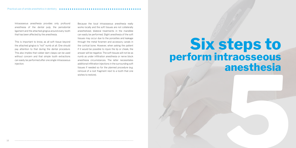Intraosseous anesthesia provides only profound anesthesia of the dental pulp, the periodontal ligament and the attached gingiva around every tooth that has been affected by the anesthesia.

This is important to know, as all soft tissue beyond the attached gingiva is "not" numb at all. One should pay attention to that during the dental procedure. This also implies that rubber dam clasps can be used without concern and that simple tooth extractions can easily be performed after one single intraosseous injection.

Because the local intraosseous anesthesia really works locally and the soft tissues are not collaterally anesthetized, bilateral treatments in the mandible can easily be performed. Slight anesthesia of the soft tissues may occur due to the porosities and leakage through the metal foramen and accessory canals in the cortical bone. However, when asking the patient if it would be possible to injure the lip or cheek, the answer will be negative. The soft tissues will not be as numb as under infiltration anesthesia or nerve block anesthesia circumstances. The latter necessitates additional infiltration injections in the surrounding soft tissues if needed so for the planned procedure (e.g. removal of a root fragment next to a tooth that one wishes to restore).

## <sup>18</sup> **5 Six steps to perform intraosseous anesthesia**

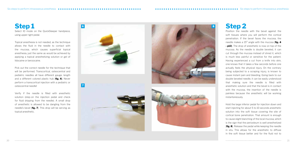**Step 2**

Position the needle with the bevel against the soft tissues where you will perform the cortical penetration. If the bevel faces the mucosa, the needle makes a 15° angle with the mucosa [**fig. 4 - p13**]. The drop of anesthetic is now on top of the mucosa. As the needle is double beveled, it can cut through the mucosa instead of shred it, which is much less painful or sensitive for the patient. Having experienced a cut from a knife into skin, one knows that it takes a few seconds before one actually feels the physical injury. On the contrary being subjected to a scraping injury, is known to cause instant pain and bleeding. Going back to our double beveled needle, it can be easily understood that making sure the needle is filled with anesthetic solution and that the bevel is in contact with the mucosa, the insertion of the needle is painless because the anesthetic will be working instantaneously.

Pick out the correct needle for the technique that will be performed. Transcortical, osteocentral and pediatric needles all have different gauge, length and a different colored plastic hub [**fig. 6**]. Never perform a transcortical injection with a pediatric or osteocentral needle!

> Hold the large inferior pedal for injection down and start injecting for about 5 to 10 seconds anesthetic solution into the soft tissue covering the site of cortical bone penetration. That amount is enough to cause slight blanching of the local mucosa, which is the sign that the periosteum is well anesthetized [**fig. 8**]. Release the pedal while keeping the needle in situ. This allows for the anesthetic to diffuse in the soft tissue better and for the fluid not to

## **Step 1**

Select IO mode on the QuickSleeper handpiece, using upper right pedal.

Topical anesthesia is not needed, as the technique allows the fluid in the needle to contact with the mucosa, which causes superficial topical anesthesia, just the same as would be achieved by applying a topical anesthetizing solution or gel of lidocaine or benzocaine.

Verify if the needle is filled with anesthetic solution (step-on the injection pedal and check for fluid dripping from the needle). A small drop of anesthetic is allowed to be dangling from the needle's bevel [**fig. 7**]. This drop will be serving as topical anesthetic.





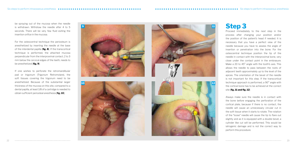**Step 3**

Proceed immediately to the next step in the process after changing your position and/or the position of the patient's head if needed. It is necessary that you have a perfect view of the needle because you have to assess the angle of insertion or penetration into the bone. For the osteocentral technique position the tip of the needle in contact with the interproximal bone, very close under the contact point in the embrasure. Make a 20 to 45° angle with the tooth's axis. This allows the needle to pass between the roots of adjacent teeth approximately up to the level of the apices. The orientation of the bevel of the needle is not important for this step. If the transcortical technique approach is performed, a 90° angle with the cortical bone has to be achieved at the correct

## site [**fig. 11 and fig. 12** ]

Always make sure the needle is in contact with the bone before engaging the perforation of the cortical plate, because if there is no contact, the needle will cause an unnecessary circular cut in the soft tissue when it starts to rotate. The rotation of the "loose" needle will cause the tip to flare out slightly and as it is equipped with a double bevel, a cylinder like cut will be performed. This would be iatrogenic damage and is not the correct way to perform this procedure.

be spraying out of the mucosa when the needle is withdrawn. Withdraw the needle after 4 to 5 seconds. There will be very few fluid exiting the insertion orifice in the mucosa.

For the osteocentral technique the periosteum is anesthetized by inserting the needle at the base of the interdental papilla [**fig. 8**]. If the transcortical technique is performed, the attached mucosa perpendicular from the interproximal contact, 2 to 3 mm below the cervical edges of the teeth, needs to be anesthetized [**fig. 9**].

If one wishes to perforate the retromandibular pad or trigonum (Trigonum Retromolare), the soft tissues covering the trigonum need to be anesthetized. Because of the substantial larger thickness of the mucosa on this site, compared to a dental papilla, at least 1/8 of a cartridge is needed to obtain sufficient periosteal anesthesia [**fig. 10**].

**11**

**12**

**9**



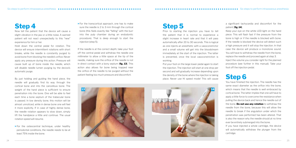## **Step 5**

Prior to starting the injection you have to tell the patient that it is normal to experience a slight increase in heart rate and that it will pass automatically after 20 to 30 seconds. This is logical as one injects an anesthetic with a vasoconstrictor and a small volume will get into the bloodstream immediately at the start of the injection. The latter is prevented, once the local vasoconstriction is working.

Put your foot on the large lower pedal again to start the injection. The injection will start at one drop per second and will gradually increase depending upon the density of the bone where the injection is taking place. Never use Hi speed mode! This will cause a significant tachycardia and discomfort for the

patient [**fig. 14**].

If you have injected a whole cartridge, the device will automatically withdraw the plunger from the

Keep your eye on the white LED-light on the hand piece. This will flash fast if the pressure from the bone is high or if the needle is blocked with bone. If the needle is blocked the device will detect such a high pressure and it will stop the injection. In that case the device will produce a monotone sound. You will have to withdraw the needle from the bone, replace the needle and proceed again at step 3.

Inject the volume you consider right for the planned procedure (see further in this manual). Take your foot off the injection pedal.

**Step 6**

You have finished the injection. The needle has the same exact diameter as the orifice into the bone, which means that the needle is well embraced by cortical bone. The latter implies that one will have to apply a little force to overcome the resistance when pulling the device back and hence the needle out of the bone. **Do not use any rotation** to withdraw the needle from the bone, because this will allow the needle to break if the angulation under which the penetration was performed has been altered. That is also the reason why the needle should at no time ever be entirely submerged into the bone.

cartridge.

## **Step 4**

Now tell the patient that the device will cause a slight vibration in the jaw or a little noise. A warned patient will not react unexpectedly to this "new" experience for him or her.

Hold down the central pedal for rotation. The device will ensure intermittent rotations with short breaks, while the needle is constantly purged to avoid bone from blocking the needle's orifice. Never apply any pressure during this action. Pressure will cause built up of bone inside the needle, which will disable needle lumen purging by the device's automatic purge.

By just holding and guiding the hand piece, the needle will gradually find its way through the cortical bone and into the cancellous bone. The weight of the hand piece is sufficient to ensure penetration into the bone. One will be able to feel each time a bone septum of the trabecular bone is passed. In low density bone, this motion will be almost unnoticed, while in dense bone one will feel it more explicitly. If in case of highly dense bone, the needle rotation appears to slow down, simply lift the handpiece a little and continue. The usual rotation speed will resume.

> For the osteocentral technique, under healthy periodontal conditions, the needle needs to be at least 75% inside the bone.

> For the transcortical approach, one has to make sure the needle is 2 to 3 mm through the cortical bone (this feels exactly like "falling" with the burr into the pulp chamber during an endodontic procedure). That is deep enough to start the injection (step 5).

If the needle is at the correct depth, take your foot off the central pedal and withdraw the needle one millimeter to allow a little space at the tip of the needle, making sure the orifice of the needle is not in direct contact with a bony septum [**fig. 13**]. This action also allows for bone being trapped near the orifice of the needle to be purged without the patient feeling too much pressure and discomfort.



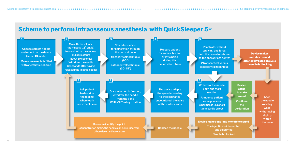26 27

Six steps to perform intraosseous anesthesia Six steps to perform intraosseous anesthesia

## **Scheme to perform intraosseous anesthesia with QuickSleeper 5**®

**Device** stops to make sound **Continue** 



Device makes one short sound after every rotation cycle - needle is blocking

> **Keep the needle rotating while withdrawing slightly within the bone**

**the perforation**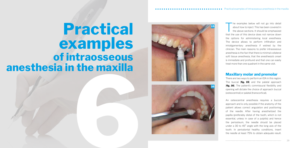The examples below will not go into detail<br>about how to inject. This has been covered in<br>the above sections. It should be emphasized about how to inject. This has been covered in the above sections. It should be emphasized that the use of this device does not narrow down the options for administering local anesthesia. The device allows to perform infiltration and intraligamentary anesthesia if wished by the clinician. The main reasons to prefer intraosseous anesthesia is the fact that there is minimal collateral soft tissue anesthesia, that the anesthesia's onset is immediate and profound and that one can easily treat more than one quadrant in the same visit.

## **Maxillary molar and premolar**

There are two ways to perform an IOA in this region. The buccal [**fig. 15**] and the palatal approach [**fig. 16**]. The patient's commissural flexibility and opening will dictate the choice of approach: buccal (osteocentral) or palatal (transcortical).

An osteocentral anesthesia requires a buccal approach and is only possible if the anatomy of the patient allows correct angulation and positioning of the needle. After having anesthetized the papilla (preferably distal of the tooth, which is not essential, unless in case of a pulpitis) and hence the periosteum, the needle should be placed under a 30 to 45° angle with the long axis of the tooth. In periodontal healthy conditions, insert the needle at least 75% to obtain adequate result.







# **15**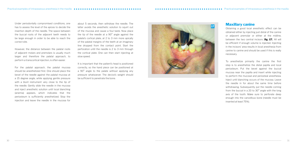## **Maxillary canine**

Obtaining a good local anesthetic effect can be obtained either by injecting just distal of the canine or adjacent premolar or either at the midline, between the two central incisors [**fig. 17**]. All will be efficient if enough volume is injected. Injecting in the incisors' area results in local anesthesia from canine to canine and should be used if this is really necessary.

To anesthetize primarily the canine the first step is to anesthetize the distal papilla and local periosteum. Put the bevel against the buccal mucosa near the papilla and insert while injecting to perform the mucosal and periosteal anesthesia. Inject until blanching occurs of the mucosa. Leave the needle in for about the same time before withdrawing. Subsequently put the needle coming from the buccal in a 20 to 30° angle with the long axis of the tooth. Make sure to perforate deep enough into the cancellous bone (needle must be inserted at least 75%).



Under periodontally compromised conditions, one has to assess the level of the apices to decide the insertion depth of the needle. The space between the buccal roots of the adjacent teeth needs to be large enough in order to be able to reach the correct site.

However, the distance between the palatal roots of adjacent molars and premolars is usually much larger and therefore the palatal approach, to perform a transcortical injection, is often easier.

For the palatal approach, the palatal mucosa should be anesthetized first. One should place the bevel of the needle against the palatal mucosa at a 15 degree angle, while applying gentle pressure with a blunt instrument very close to the tip of the needle. Gently slide the needle in the mucosa and inject anesthetic solution until local blanching (anemia) appears, which indicates that the periosteum is sufficiently anesthetized. Stop the injection and leave the needle in the mucosa for

about 5 seconds, then withdraw the needle. The latter avoids the anesthetic solution to squirt out of the mucosa and cause a foul taste. Now place the tip of the needle at a 90° angle against the palate's cortical plate, at 2 to 3 mm more apically of the palatal margins of the teeth at an imaginary line dropped from the contact point. Start the perforation until the needle is 2 to 3 mm through the cortical plate. One can then start injecting at slow speed.

It is important that the patient's head is positioned correctly, so the hand piece can be positioned at a 90° angle to the palate without applying any pressure whatsoever. The device's weight should be sufficient to penetrate the bone.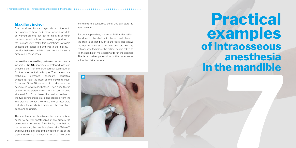## **Maxillary incisor**

One can either choose to inject distal of the tooth one wishes to treat or if more incisors need to be worked on, one can opt to inject in between the two central incisors. However, the position of the incisors may make this sometimes awkward because the apices are pointing to the midline. A position between the lateral and central incisor is preferred in those cases.

In case the intermaxillary (between the two central incisors – **fig. 18**) approach is preferred, one can choose either for the transcortical technique or for the osteocentral technique. The transcortical technique demands adequate periosteal anesthesia near the base of the frenulum. Inject for about 5 to 10 seconds to make sure the periosteum is well anesthetized. Then place the tip of the needle perpendicular to the cortical bone at a level 2 to 3 mm below the cervical borders of the two central incisors at a line dropped from the interproximal contact. Perforate the cortical plate and when the needle is 2 mm inside the cancellous bone, one can inject.

## **7 Practical examples of intraosseous anesthesia in the mandible**

The interdental papilla between the central incisors needs to be well anesthetized if one prefers the osteocentral technique. After having anesthetized the periosteum, the needle is placed at a 30 to 45° angle with the long axis of the incisors on top of the papilla. Make sure the needle is inserted 75% of its length into the cancellous bone. One can start the injection now.

For both approaches, it is essential that the patient lies down in the chair, with the occlusal plane of the maxilla perpendicular to the floor. This allows the device to be used without pressure. For the osteocentral technique the patient can he asked to tilt the head a bit more backwards (tilt the chin up). The latter makes penetration of the bone easier without applying pressure.

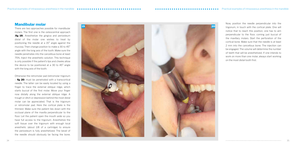Now, position the needle perpendicular into the trigonum, in touch with the cortical plate. One will notice that to reach this position, one has to aim perpendicular to the floor, coming just buccal of the maxillary molars. Start the perforation of the cortical bone. Make sure that the needle is at least 2 mm into the cancellous bone. The injection can be engaged. The volume will determine the number of teeth that will be anesthetized. If one intends to work on more than one molar, always start working on the most distal tooth first.

## **Mandibular molar**

There are two approaches possible for mandibular molars. The first one is the osteocentral approach **[fig 19**]. Anesthetize the gingiva and periosteum distal of the molar one wishes to treat by positioning the needle at a 15° angle against the mucosa. Then change position to make a 30 to 45° angle with the long axis of the tooth. Make sure the needle penetrates into the cancellous bone at least 75%. Inject the anesthetic solution. This technique is only possible if the patient's lips and cheeks allow the device to be positioned at a 30 to 45° angle with the long axis of the tooth.

Otherwise the retromolar pad (retromolar trigonum – **fig 20**) must be penetrated with a transcortical needle. The latter can be easily located by using a finger to trace the external oblique ridge, which starts buccal of the first molar. Move your finger now distally along the external oblique ridge. A trough or ditch or depression behind the most distal molar can be appreciated. That is the trigonum or retromolar pad. Here the cortical plate is the thinnest. Make sure the patient lies down with the occlusal plane of the maxilla perpendicular to the floor. Let the patient open the mouth wide so you have full access to the trigonum. Anesthetize the soft tissue over the trigonum with enough local anesthetic (about 1/8 of a cartridge) to ensure the periosteum is fully anesthetized. The bevel of the needle should obviously be facing the bone.

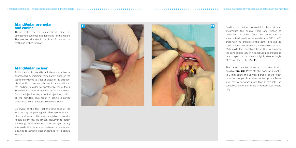Position the patient horizontal in the chair and anesthetize the papilla where one wishes to perforate the bone. Once the periosteum is anesthetized, position the needle at a 30° to 45° angle with the long axis of the tooth. Perforate the cortical bone and make sure the needle is at least 75% inside the cancellous bone. Due to anatomy the bone can be very thin from buccal to lingual and pear shaped. In that case a slightly steeper angle (30°) might be better. [**fig. 21** ]

The transcortical technique in this location is also possible [**fig. 22**]. Perforate the bone at a level 2 to 3 mm below the cervical borders of the teeth on a line dropped from their contact points. Make sure not to perforate more than 2 mm into the cancellous bone and to use a transcortical needle

only.

## **Mandibular premolar and canine**

These teeth can be anesthetized using the osteocentral technique as described for the molars. The injection site should be distal of the tooth or teeth one wishes to treat.

## **Mandibular incisor**

As for the maxilla, mandibular incisors can either be approached by injecting immediately distal of the tooth one wishes to treat or distal of the adjacent distal tooth or one can choose to anesthetize at the midline in order to anesthetize more teeth. Since the anesthetic effect will spread left and right from the injection site, a central injection position on the mandible, may result in canine-to canine anesthesia, if one injected an entire cartridge.

Be aware of the fact that the long axes of the incisors may be pointing with their apices at each other and as such the space available to insert a needle safely may be limited. However, to obtain a thorough local anesthesia one can inject at any site inside the bone, even between a lateral and a canine to achieve local anesthesia for a central incisor.



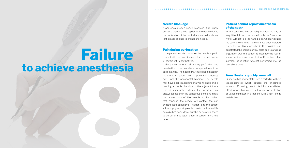# **8**<br> **8**<br> **8**<br> **8**<br> **8**<br> **8**<br> **8**<br> **8 Failure to achieve anesthesia**

## **Needle blockage**

If one encounters a needle blockage, it is usually because pressure was applied to the needle during the perforation of the cortical and cancellous bone. In that case one has to change the needle.

## **Pain during perforation**

If the patient reports pain when the needle is put in contact with the bone, it means that the periosteum is insufficiently anesthetized.

If the patient reports pain during perforation and penetration of the cancellous bone, one has not the correct angle. The needle may have been placed in the crevicular sulcus and the patient experiences pain from the periodontal ligament. The needle may have been placed under a wrong angle and is pointing at the lamina dura of the adjacent tooth. One will eventually perforate the buccal cortical plate, subsequently the cancellous bone and finally the lamina dura of the alveolar socket. When that happens, the needle will contact the non anesthetized periodontal ligament and the patient will abruptly report pain. No major or irreversible damage has been done, but the perforation needs to be performed again under a correct angle this time.

## **Patient cannot report anesthesia of the teeth**

In that case, one has probably not injected any or very little fluid into the cancellous bone. Check the white LED light on the hand piece, which indicates the cartridge content. If the fluid has been injected, check the soft tissue anesthesia. It is possible, one penetrated the lingual cortical plate due to a wrong angulation. Ask the patient to describe the feeling when the teeth are in occlusion. If the teeth feel 'normal', the injection was not performed into the cancellous bone.

## **Anesthesia is quickly worn off**

Either one has accidentally used a cartridge without vasoconstrictor, which causes the anesthetic to wear off quickly, due to its initial vasodilation effect, or one has injected a too low concentration of vasoconstrictor in a patient with a fast amide

metabolism.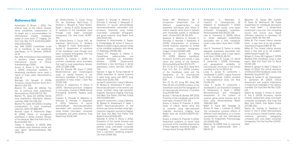Kanaa MD, Whithworth JM. A prospective randomized trial of different supplementary local anesthetic techniques after failure of inferior alveolar nerve block in patients with irreversible pulpitis in mandibular teeth. J Endod 2012 ;38 :421-425.

Katakami K, Mishima A, Shiozaki K, Shimoda S, Hamada Y, Kobayashi K (2008) Characteristic of accessory mental foramina observed on limited cone-beam computed tomography images. J Endod 34:1441-1445

Kaufman E, Serman NJ, Wang PD (2009) Bilateral mandibular accessory foramina and canals: a case report and review of the literature. Dentomaxillofacial Rad 29:170-175 Kim ST, Hu K-S, Song W-C, Kang M-K, Park H-D, Kim H-J (2009) Location of the mandibular canal and the topography of its neurovascular structures. J Craniofac Surg 20:936- 939

Kuribayashi A, Watanabe H, Imaizumi A, Tantanapornkul W, Katakami K, Kurabayashi T (2010) Bifid mandibular canals: cone beam computed tomography evaluation. Dentomaxillofac Rad 39:235-239 Lew K, Townsend G (2006) Failure to obtain adequate anaesthesia associated with a bifid mandibular canal: a case report. Austr Dent J 51:86-  $90$ 

Kim ST, Hu KS, Song WC, Kang MK, Park HD, Kim HJ (2009) Location of the mandibular canal and the topography of its neurovascular structures. J Craniofac Surg 20:936-939

Kovisto T, Ahmad M, Bowles WR (2011) Proximity of the mandibular canal to the tooth apex. J Endod 37:311-315 Krasny A, Krasny N, Prescher A (2011) Study of inferior dental canal and its contents using high-resolution

magnetic resonance imaging. Surg Radiol Anat doi 10.1007/s00276-011- 0910-y

Krasny A, Krasny N, Prescher A (2012). Anatomical variations of neural canal structures of the mandible observed by 3-Tesla magnetic resonance imaging. J Comput Assist Tomogr 36:150-153

block : a new look at an old problem. Anesthesia Progress 1984 :87-90.

Liang X, Jacobs R, Corpas LS, Semal P, Lambrichts I (2009) Chronologic and geographical variability of neurovascular structures in the human mandible. For Sci Int 190:24-32 Liang X, Jacobs R, Lambrichts I, Vandewalle G (2007) Lingual foramina on the mandibular midline revisited: a macroanatomical study. Clin Anat 20:246-251

Apostolakis D, Brown J (2011) The anterior loop of the inferior alveolar nerve: prevalence, measurement of its length and a recommendation for interforaminal implant installation based on cone beam CT imaging. Clin Oral Impl Res 0:1-9 doi:10.1111/j.1600- 0501.2011.02261.x

> Liang X, Jacobs R, Lambrichts I, Vandewalle G, van Oostveld D, Schepers E, Adriaensens P, Gelan J (2005) Microanatomical and histological assessment of the content of superior genial spinal foramen and its bony canal. Dentomaxillofac Radiol 34(6):362-368

Balcioglu HU, Kocaelli H (2009) Accessory mental foramen. North Am J Med Sci 1:314-315

Lew K, Townsend G. Failure to obtain adequate anesthesia associated with a bifid mandibular canal: a case report. Austr Dent J 2006;51: 68-90. Milles M. The missed inferior alveolar block: a new look at an old problem. (1984) Anesth Prog:87-90. Miloglu O, Yilmaz AB, Caglayan F (2009)

Malet A, Faure MO, Delatage N, Pereira B, Haas J, Lambert G. (2015) The comparative cytotoxic effects of different local anesthetics on a human neuroblastoma cell line. International Society for Anaesthetic Pharmacology 120 (3):589-596

Meechan JG (1999) How to overcome failed local anaesthesia.Br Dent J 186:15-20

Meechan JG, Kanaa MD, Corbett IP, Steen IN, Whithworth JM. Pulpal anaesthesia for mandibular permanent first molar teeth · a double-blind randomized cross-over trial comparing buccal and buccal plus lingual infiltration injections in volunteers. Int Endod J 2006 ;39 :764-769. Milles M. The missed inferior alveolar

Bilateral bifid mandibular canal: a case report. Med Oral Patol Oral Cir Bucal 5:E244-246

Mizbah K, gerlach N, Maal TJ, Bergé SJ, Meijer GJ (2012) The clinical relevance of bifid and trifid mandibular canals. Oral Maxillofac Surg 16:147-151

Mraiwa N, Jacobs R, van Steenbergen D, Quireynen M. (2003) Clinical assessment and surgical implications of anatomical challenges in the anterior mandible. Clin Impl Dent Rel Res 5:219- 225

Naitoh M, Hiraiwa Y, Aimiya H, Gotoh K, Ariji E (2009) Accessory mental foramen assessment using cone-beam computed tomography. Oral Surg Oral Med Oral Pathol Oral Radiol Endod 107:289-294

Naitoh M, Yoshida K, Nakahara K, Gotoh K, Ariji E (2011) Demonstration of the accessory mental foramen using rotational panoramic radiography compared with cone beam computed tomography. Clin Oral Impl Res 22:1415- 1419

## **Reference list**

Aps JKM (2009) L'anesthésie locale de la mandibule et ses problèmes spécifiques. Le Fil Dentaire 2009:43: 14-16

Aps JKM. Intraosseous local anesthesia in dentistry makes sense. (2013) International Journal of Clinical Anesthesiology 1:1006

Auluck A, Ahsan A, Pai KM, Shetty C (2005) Anatomical variations in developing mandibular nerve canal: a report of three cases. Neuroanatomy 4:28-30

Blanton PL, Jeske AH (2003a) The key to profound local anaesthesia. Neuroanatomy. JADA 134:753-760

Blanton PL, Jeske AH (2003b) Dental local anesthetics. Alternative delivery methods. JADA 134: 228-234

Blanton PL, Jeske AH (2003c) Avoiding complications in local anesthesia induction. JADA 134: 888-893

Boronat López A, Peñarrocha Diago M (2006) Failure of locoregional anesthesia in dental practice. Review of the literature. Med Oral Patol Oral Cir Bucal 11:e510-513

Claeys V, Wackens G (2005) Bifid mandibular canal: literature review and case report. Dentomaxillofacial Rad 34:55-58

de Oliveira-Santos C, Couto Souza PH, de Azambuja Berti-Couto S, Stinkens L, Moyaert K, Fisher Rubira-Bullen I, Jacobs R (2012) Assessment of variations of the mandibular canal through cone beam computed tomography. Clin Oral Invest 16:387- 393

de Oliveira-Santos C, Souza PHC, de Azambuja Berti-Couto S, Stinkens L, Moyaert K, Fisher Rubira-Bullen I, Jacobs R. Assessment of variations of the mandibular canal through cone beam computed tomography. Clin Oral Invest 2012;16:387-393.

Desantis JL, Liebow C (1996) For common mandibular nerve anomalies that lead to local anaesthesia failures. JADA 127:1081-1086

Devi KS, Shamila PB, Susan P (2011) Morphometrical and morphological study of mental foramen in dry dentulous mandibles of South Andhra population of India. Indian J Dent Res 22:542-546

Dobreva D, Lalabonova H, Kirova D (2005) Electroacupuncture analgesia in oral surgery. Journal of IMAB-Annual Proceeding (Scientific Papers) book 2:20-21

Fuakami K, Shiozaki K, Mashima A, Shimoda S, Hamada Y, Kobayashi K (2011) Detection of buccal perimandibular neurovascularisation associated with accessory foramina using limited cone-beam computed tomography and gross anatomy. Surg Radiol Anat 33:141-146

Fuakami K, Shiozaki K, Mishima A, Shimoda S, Hamada Y, Kobayashi K. Detection of buccal perimandibular neurovascularization associated with accessory foramnina using limited cone-beam computed tomography and gross anatomy. Surg Radiol Anat 2011;33:141-146.

Gahleitner A, Hofschnelder U, Tepper G, Pretterklieber M, Schick S, Zauza K, Watzek G (2001) Lingual vascular canals of the mandible: evaluation with dental CT. Radiology 220:186-189

Gréaud P-Y, Pasquier E, Villette A. L'anesthésie ostéocentrale, une nouvelle technique en anesthésie<br>dentaire. (2008) [Osteocentral dentaire. (2008) anesthesia, a new technique in dental anesthesia.] Inform Dent.90: (14):701- 704

Haknatir A, Ilgaz K, Turhan-Haknatir N (2010) Evaluation of mental foramina in adult living crania with MDCT. Surg Radiol Anat 32:351-356

Jacobs R, Lambrichts I, Liang X, Martens W, Mraiwa N, Adriaensens P, Gelan J. Neurovascularization of the anterior jaw bones revisited using high-resolution magnetic resonance imaging. Oral Surg, Oral Med, Oral Pathol, Oral Rad, Endod 2007;103:683-693.

Jacobs R, Lambrichts I, Liang X, Martens W, Mraiwa N, Adriaensens P, Gelan J (2007) Neurovascularization of the anterior jaw bones revisited using highresolution magnetic resonance imaging. Oral Surg Oral Med Oral Pathol Oral Radiol Endod 103:683-693 Kalender A, Orhan K, Aksoy U (2012) Evaluation of the mental foramen and accessory mental foramen in Turkish patients using cone-beam computed tomography images reconstructed from a volumetric rendering program. Clin Anat 25:584-592

Reference list **as a second associated as a second associated as a second associated as a second associated as a second associated as a second list**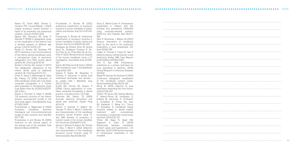Neves FS, Torres MGG, Oliveira C, Campos PSF, Crusoé-Rebello I (2010) Lingual accessory mental foramen: a report of an extremely rare anatomical variation. J Oral Sci 52:501-503] Ngeow WC, Dionysius DD, Ishak H, Nambiar P (2009) A radiographic study on the visualization of the anterior loop in dentate subjects of different age groups. J Oral Sci 51:231-237

Nortjé CJ, Farman AG, Grotepas FW (1977) Variations in the normal anatomy of the inferior dental (mandibular) canal: a retrospective study of panoramic radiographs from 3612 routine dental patients. Br J Oral Surg 15:55-63

Nortjé CJ, Farman AG, Joubert JJ (1977) The radiographic appearance of the inferior dental canal: an additional variation. Br J Oral Surg 15:171-172

Orhan K, Aksoy S, Bilecenoglu B, Sakul BU, Paksoy CS (2010) Evaluation of bifid mandibular canals with cone beam computed tomography in a Turkish adult population: a retrospective study. Surg Radiol Anat doi 10.1007/s00276- 010-0761-y

Pogrel A, Dorfman D, Fallah H (2009) The anatomic structure of the inferior alveolar neurovascular bundle in the third molar region. J Oral Maxillofac Surg 67:2452-2454

Przynstanska A, Malgorzata B (2010) Accessory mandibular foramina: histological and immunohistochemical studies of their contents. Arch Oral Biol 55:77-80

Przystanska A and Bruska M (2005) Foramina on the internal aspect of the alveolar part of the mandible. Folia Morphol (Warsz) 64:89-91

Przystánska A, Bruska M (2012) Anatomical classification of accessory foramina in human mandibles of adults, infants, and fetuses. Anat Sci Int 87:141- 149

Przystanska A, Bruska M. Anatomical classification of accessory foramina in human mandibles of adults, infants and fetuses. Anat Sci Int 2012;87:141-149. Rodriguez de Oliveira Júnior M, Santos Saud AL, Rodriguez Fonseca D, De-Ary-Pirez B, Ary Pires-Neto M, de Ary-Pires R (2011) Morphometrical analysis of the human mandibular canal: a CT investigation. Surg Radiol Anat 33:345- 352

Sachis JM, Peñarrocha M, Soler F (2003) Bifid mandibular canal. J Oral Maxillofac Surg 61:422-424

Saxena P, Gupta SK, Newaskar V, Chandra A. Advances in dental local anesthesia techniques and devices : an update. Natl J Maxillofac Surg 2013 ;4 :19-24.

Scarfe WC, Farman AG, Sukovic P (2006) Clinical applications of conebeam computed tomography in dental practice. J Can Dent Assoc 72:75-80 Simmons MS, Oleson TD (1993) Auricular electrical stimulation and dental pain threshold. Anesth Prog 40:14-19

Sisman Y, Sahman H, Sekerci AE, Tokmak TT, Aksu Y, Mavili E. Detection and characterization of the mandibular accessory buccal foramen using CT. Aps JKM. Number of accessory or nutrient canals in the human mandible. Clin Oral Invest 2014;18:671-676. Sisman Y, Sahman H, Sekerci AE, Totmak TT, Aksu Y, Mavili E (2012) Detection and characterization of the mandibular accessory buccal foramen using CT. Dentomaxillofac Rad 41:558-563

Sixou JL, Marie-Cousin A. Intraosseous anaesthesia in children with 4% articaine and epinephrine 1:400,000 using computer-assisted systems. (2015) Eur Arch Paediatr Dent 16:477- 481.

Stein P, Brueckner J, Milliner M (2007) Sensory innervation of mandibular teeth by the nerve to the mylohyoid: implications in local anaesthesia. Clin Anat 20:591-595

Thakur G, Thomas S, Thayil SC, Nair P (2011) Accessory mental foramen: a rare anatomical finding. BMJ Case Reports doi:10.1136/bcr.09.2010.3326

Tom K, Aps JKM. Intraosseous anesthesia as a primary technique for local anesthesia in dentistry. (2015) Clinical Research in Infectious Diseases 2(1):1012

Wang PD, Serman NJ, Kaufman E (2001) Continuous radiographic visualization of the mandibular nutrient canals. Dentomaxillofacial Rad 30:131-132 Wong JK (2001) Adjuncts to local anesthesia: separating fact from fiction.

JCDA 67:391-397

Yildirim YD, Guncu GN, Galindo-Moreno P, Velasco-Torres M, Juodzbalys G, Kubilius M, Gervickas A, Al-Hezaimi K, Al-Sadhan R, Yilmaz HG, Asar NV, Karabulut E, Wang H-L, Tozum TF. Evaluation of mandibular lingual foramina related to dental implant treatment with computerized tomofraphy: a multicenter clinical study. Impl Dent 2014:23:57-63.

Yilmaz AB, Akgül N, Akgül HM, Dagistanli S, Cakur B (2003) Relationship between mandibular nutrient canals and hypertension. J Int Med Res 31:123-125Practical examples of intraosseous anesthesia in the mandible

|  |  |  |  |  |  |  |  |  |  | <b></b> Notes |
|--|--|--|--|--|--|--|--|--|--|---------------|
|  |  |  |  |  |  |  |  |  |  |               |